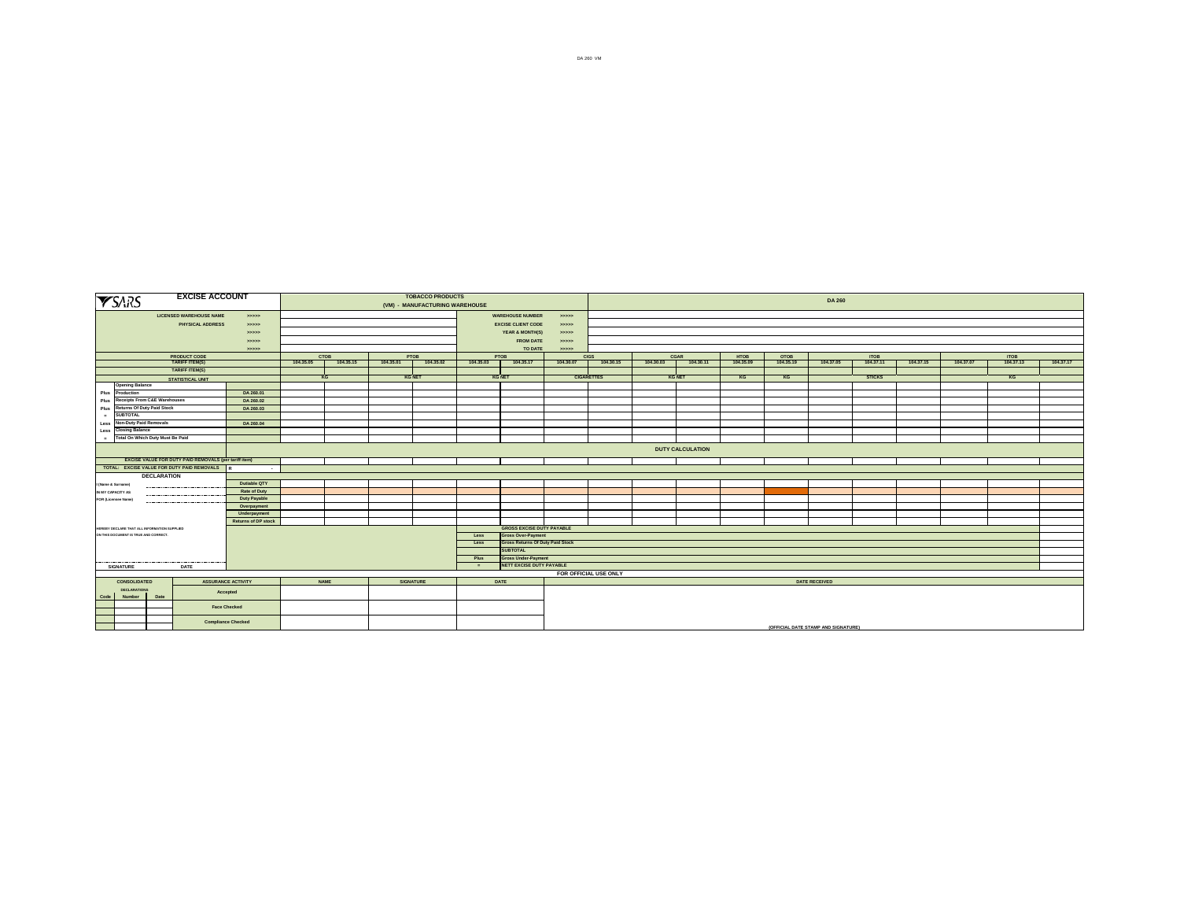|                                                                                                            | <b>YSARS</b>                                            |                    | <b>EXCISE ACCOUNT</b>                                     |                             |                          |           |           | <b>TOBACCO PRODUCTS</b><br>(VM) - MANUFACTURING WAREHOUSE |           |                                                               |                  |                          |           |                   |                          |                          | <b>DA 260</b>                       |                          |           |           |                          |           |
|------------------------------------------------------------------------------------------------------------|---------------------------------------------------------|--------------------|-----------------------------------------------------------|-----------------------------|--------------------------|-----------|-----------|-----------------------------------------------------------|-----------|---------------------------------------------------------------|------------------|--------------------------|-----------|-------------------|--------------------------|--------------------------|-------------------------------------|--------------------------|-----------|-----------|--------------------------|-----------|
|                                                                                                            |                                                         |                    | <b>LICENSED WAREHOUSE NAME</b><br><b>PHYSICAL ADDRESS</b> | ->>>>><br>->>>>>            |                          |           |           |                                                           |           | <b>WAREHOUSE NUMBER</b><br><b>EXCISE CLIENT CODE</b>          | ->>>>><br>>>>>>> |                          |           |                   |                          |                          |                                     |                          |           |           |                          |           |
|                                                                                                            |                                                         |                    |                                                           | 333333                      |                          |           |           |                                                           |           | YEAR & MONTH(S)                                               | >>>>>>           |                          |           |                   |                          |                          |                                     |                          |           |           |                          |           |
|                                                                                                            |                                                         |                    |                                                           | 333333                      |                          |           |           |                                                           |           | <b>FROM DATE</b>                                              | >>>>>>           |                          |           |                   |                          |                          |                                     |                          |           |           |                          |           |
|                                                                                                            |                                                         |                    |                                                           | 55555                       |                          |           |           |                                                           |           | TO DATE                                                       | >>>>>>           |                          |           |                   |                          |                          |                                     |                          |           |           |                          |           |
|                                                                                                            |                                                         |                    | <b>PRODUCT CODE</b><br><b>TARIFF ITEM(S)</b>              |                             | <b>CTOB</b><br>104.35.05 | 104.35.15 | 104.35.01 | PTOB<br>104.35.02                                         | 104.35.03 | <b>PTOB</b><br>104.35.17                                      | 104.30.07        | <b>CIGS</b><br>104.30.15 | 104.30.03 | CGAR<br>104.30.11 | <b>HTOB</b><br>104.35.09 | <b>OTOB</b><br>104.35.19 | 104.37.05                           | <b>ITOB</b><br>104.37.11 | 104.37.15 | 104.37.07 | <b>ITOB</b><br>104.37.13 | 104.37.17 |
|                                                                                                            |                                                         |                    | <b>TARIFF ITEM(S)</b>                                     |                             |                          |           |           |                                                           |           |                                                               |                  |                          |           |                   |                          |                          |                                     |                          |           |           |                          |           |
|                                                                                                            |                                                         |                    | <b>STATISTICAL UNIT</b>                                   |                             | KG                       |           |           | <b>KG NET</b>                                             |           | <b>KG NET</b>                                                 |                  | <b>CIGARETTES</b>        |           | <b>KG NET</b>     | KG                       | KG                       |                                     | <b>STICKS</b>            |           |           | KG                       |           |
|                                                                                                            | <b>Opening Balance</b>                                  |                    |                                                           |                             |                          |           |           |                                                           |           |                                                               |                  |                          |           |                   |                          |                          |                                     |                          |           |           |                          |           |
| Plus                                                                                                       | Production                                              |                    |                                                           | DA 260.01                   |                          |           |           |                                                           |           |                                                               |                  |                          |           |                   |                          |                          |                                     |                          |           |           |                          |           |
| Plus                                                                                                       | <b>Receipts From C&amp;E Warehouses</b>                 |                    |                                                           | DA 260.02                   |                          |           |           |                                                           |           |                                                               |                  |                          |           |                   |                          |                          |                                     |                          |           |           |                          |           |
| Plus                                                                                                       | <b>Returns Of Duty Paid Stock</b>                       |                    |                                                           | DA 260.03                   |                          |           |           |                                                           |           |                                                               |                  |                          |           |                   |                          |                          |                                     |                          |           |           |                          |           |
| $\sim$                                                                                                     | <b>SUBTOTAL</b>                                         |                    |                                                           |                             |                          |           |           |                                                           |           |                                                               |                  |                          |           |                   |                          |                          |                                     |                          |           |           |                          |           |
| Less<br>Less                                                                                               | <b>Non-Duty Paid Removals</b><br><b>Closing Balance</b> |                    |                                                           | DA 260.04                   |                          |           |           |                                                           |           |                                                               |                  |                          |           |                   |                          |                          |                                     |                          |           |           |                          |           |
|                                                                                                            | Total On Which Duty Must Be Paid                        |                    |                                                           |                             |                          |           |           |                                                           |           |                                                               |                  |                          |           |                   |                          |                          |                                     |                          |           |           |                          |           |
|                                                                                                            |                                                         |                    |                                                           |                             |                          |           |           |                                                           |           |                                                               |                  |                          |           |                   |                          |                          |                                     |                          |           |           |                          |           |
| <b>DUTY CALCULATION</b>                                                                                    |                                                         |                    |                                                           |                             |                          |           |           |                                                           |           |                                                               |                  |                          |           |                   |                          |                          |                                     |                          |           |           |                          |           |
| <b>EXCISE VALUE FOR DUTY PAID REMOVALS (per tariff item)</b><br>TOTAL: EXCISE VALUE FOR DUTY PAID REMOVALS |                                                         |                    |                                                           |                             |                          |           |           |                                                           |           |                                                               |                  |                          |           |                   |                          |                          |                                     |                          |           |           |                          |           |
|                                                                                                            |                                                         |                    |                                                           |                             |                          |           |           |                                                           |           |                                                               |                  |                          |           |                   |                          |                          |                                     |                          |           |           |                          |           |
|                                                                                                            |                                                         | <b>DECLARATION</b> |                                                           |                             |                          |           |           |                                                           |           |                                                               |                  |                          |           |                   |                          |                          |                                     |                          |           |           |                          |           |
|                                                                                                            | (Name & Surname)                                        |                    |                                                           | Dutiable QTY                |                          |           |           |                                                           |           |                                                               |                  |                          |           |                   |                          |                          |                                     |                          |           |           |                          |           |
| IN MY CAPACITY AS                                                                                          |                                                         |                    |                                                           | Rate of Duty                |                          |           |           |                                                           |           |                                                               |                  |                          |           |                   |                          |                          |                                     |                          |           |           |                          |           |
|                                                                                                            | <b>FOR (Licensee Name)</b>                              |                    |                                                           | Duty Payable<br>Overpayment |                          |           |           |                                                           |           |                                                               |                  |                          |           |                   |                          |                          |                                     |                          |           |           |                          |           |
|                                                                                                            |                                                         |                    |                                                           | Underpayment                |                          |           |           |                                                           |           |                                                               |                  |                          |           |                   |                          |                          |                                     |                          |           |           |                          |           |
|                                                                                                            |                                                         |                    |                                                           | <b>Returns of DP stock</b>  |                          |           |           |                                                           |           |                                                               |                  |                          |           |                   |                          |                          |                                     |                          |           |           |                          |           |
|                                                                                                            | HEREBY DECLARE THAT ALL INFORMATION SUPPLIED            |                    |                                                           |                             |                          |           |           |                                                           |           | <b>GROSS EXCISE DUTY PAYABLE</b>                              |                  |                          |           |                   |                          |                          |                                     |                          |           |           |                          |           |
|                                                                                                            | ON THIS DOCUMENT IS TRUE AND CORRECT.                   |                    |                                                           |                             |                          |           |           |                                                           | Less      | <b>Gross Over-Payment</b>                                     |                  |                          |           |                   |                          |                          |                                     |                          |           |           |                          |           |
|                                                                                                            |                                                         |                    |                                                           |                             |                          |           |           |                                                           | Less      | <b>Gross Returns Of Duty Paid Stock</b>                       |                  |                          |           |                   |                          |                          |                                     |                          |           |           |                          |           |
|                                                                                                            |                                                         |                    |                                                           |                             |                          |           |           |                                                           |           | <b>SUBTOTAL</b>                                               |                  |                          |           |                   |                          |                          |                                     |                          |           |           |                          |           |
|                                                                                                            |                                                         |                    |                                                           |                             |                          |           |           |                                                           | Plus      | <b>Gross Under-Payment</b><br><b>NETT EXCISE DUTY PAYABLE</b> |                  |                          |           |                   |                          |                          |                                     |                          |           |           |                          |           |
|                                                                                                            | SIGNATURE                                               |                    | DATE                                                      |                             |                          |           |           |                                                           | . .       |                                                               |                  | FOR OFFICIAL USE ONLY    |           |                   |                          |                          |                                     |                          |           |           |                          |           |
|                                                                                                            | CONSOLIDATED                                            |                    | <b>ASSURANCE ACTIVITY</b>                                 |                             | <b>NAME</b>              |           |           | <b>SIGNATURE</b>                                          |           | <b>DATE</b>                                                   |                  |                          |           |                   |                          |                          | <b>DATE RECEIVED</b>                |                          |           |           |                          |           |
|                                                                                                            | <b>DECLARATIONS</b>                                     |                    |                                                           |                             |                          |           |           |                                                           |           |                                                               |                  |                          |           |                   |                          |                          |                                     |                          |           |           |                          |           |
| Code                                                                                                       | Number                                                  | Date               | Accepted                                                  |                             |                          |           |           |                                                           |           |                                                               |                  |                          |           |                   |                          |                          |                                     |                          |           |           |                          |           |
|                                                                                                            |                                                         |                    | <b>Face Checked</b>                                       |                             |                          |           |           |                                                           |           |                                                               |                  |                          |           |                   |                          |                          |                                     |                          |           |           |                          |           |
|                                                                                                            |                                                         |                    |                                                           |                             |                          |           |           |                                                           |           |                                                               |                  |                          |           |                   |                          |                          |                                     |                          |           |           |                          |           |
|                                                                                                            |                                                         |                    | <b>Compliance Checked</b>                                 |                             |                          |           |           |                                                           |           |                                                               |                  |                          |           |                   |                          |                          |                                     |                          |           |           |                          |           |
|                                                                                                            |                                                         |                    |                                                           |                             |                          |           |           |                                                           |           |                                                               |                  |                          |           |                   |                          |                          | (OFFICIAL DATE STAMP AND SIGNATURE) |                          |           |           |                          |           |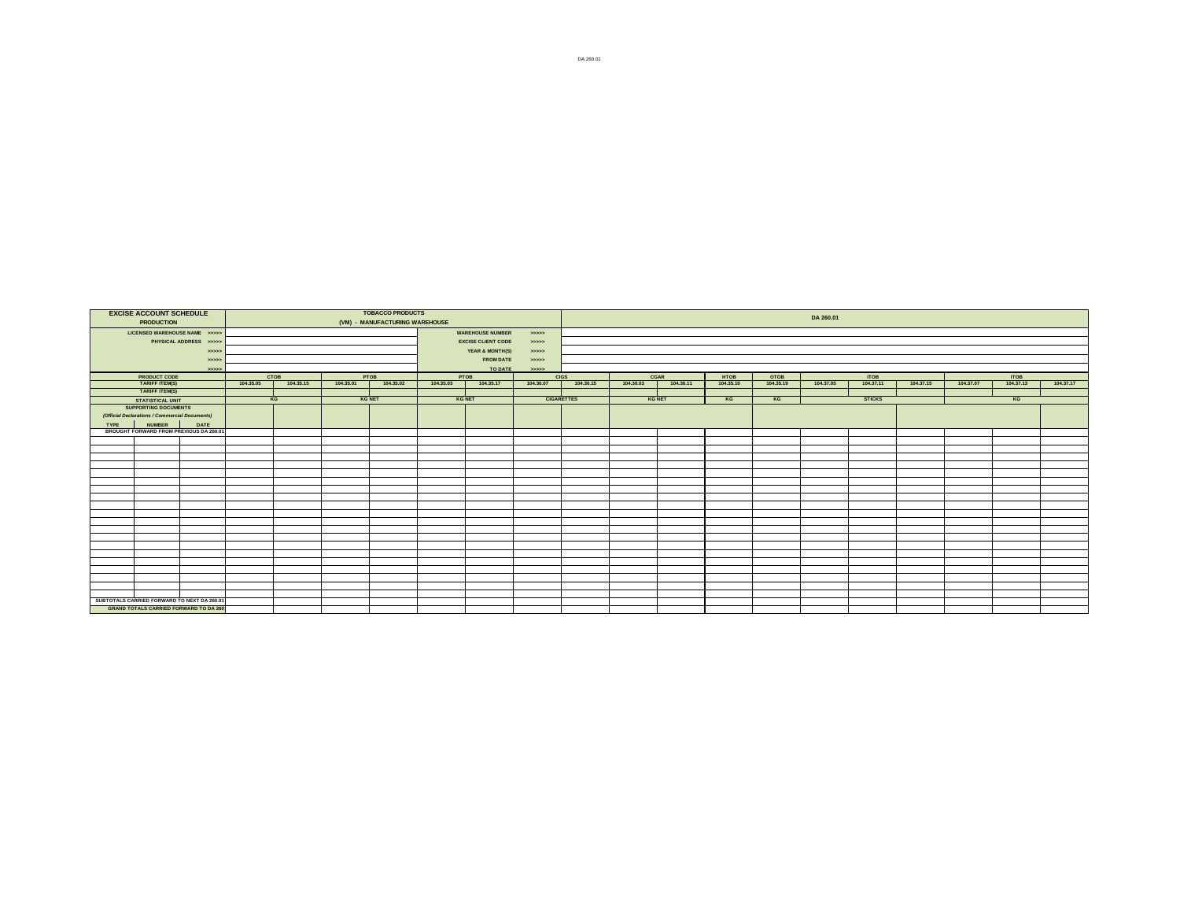|             | <b>EXCISE ACCOUNT SCHEDULE</b>                         |                       |           |           |           | <b>TOBACCO PRODUCTS</b>        |               |                           |           |                   |               |           |           |           | DA 260.01 |                         |           |           |             |           |
|-------------|--------------------------------------------------------|-----------------------|-----------|-----------|-----------|--------------------------------|---------------|---------------------------|-----------|-------------------|---------------|-----------|-----------|-----------|-----------|-------------------------|-----------|-----------|-------------|-----------|
|             | <b>PRODUCTION</b>                                      |                       |           |           |           | (VM) - MANUFACTURING WAREHOUSE |               |                           |           |                   |               |           |           |           |           |                         |           |           |             |           |
|             | LICENSED WAREHOUSE NAME >>>>>                          |                       |           |           |           |                                |               | <b>WAREHOUSE NUMBER</b>   | 55555     |                   |               |           |           |           |           |                         |           |           |             |           |
|             |                                                        | PHYSICAL ADDRESS >>>> |           |           |           |                                |               | <b>EXCISE CLIENT CODE</b> | >>>>      |                   |               |           |           |           |           |                         |           |           |             |           |
|             |                                                        | 55555                 |           |           |           |                                |               | YEAR & MONTH(S)           | 55555     |                   |               |           |           |           |           |                         |           |           |             |           |
|             |                                                        | 55555                 |           |           |           |                                |               | <b>FROM DATE</b>          | >>>>      |                   |               |           |           |           |           |                         |           |           |             |           |
|             |                                                        | 55555                 |           |           |           |                                |               | TO DATE                   | 55555     |                   |               |           |           |           |           |                         |           |           |             |           |
|             | <b>PRODUCT CODE</b><br>TARIFF ITEM(S)                  |                       |           | CTOB      |           | PTOB                           | PTOB          |                           |           | <b>CIGS</b>       | CGAR          |           | HTOB      | OTOB      |           | $\frac{10B}{104.37.11}$ |           |           | <b>ITOB</b> |           |
|             |                                                        |                       | 104.35.05 | 104.35.15 | 104.35.01 | 104.35.02                      | 104.35.03     | 104.35.17                 | 104.30.07 | 104.30.15         | 104.30.03     | 104.30.11 | 104.35.10 | 104.35.19 | 104.37.05 |                         | 104.37.15 | 104.37.07 | 104.37.13   | 104.37.17 |
|             | <b>TARIFF ITEM(S)</b>                                  |                       |           |           |           |                                |               |                           |           |                   |               |           |           |           |           |                         |           |           |             |           |
|             | <b>STATISTICAL UNIT</b><br><b>SUPPORTING DOCUMENTS</b> |                       |           | KG        |           | <b>KG NET</b>                  | <b>KG NET</b> |                           |           | <b>CIGARETTES</b> | <b>KG NET</b> |           | KG        | KG        |           | <b>STICKS</b>           |           |           | KG          |           |
|             | (Official Declarations / Commercial Documents)         |                       |           |           |           |                                |               |                           |           |                   |               |           |           |           |           |                         |           |           |             |           |
| <b>TYPE</b> | <b>NUMBER</b>                                          | DATE                  |           |           |           |                                |               |                           |           |                   |               |           |           |           |           |                         |           |           |             |           |
|             | BROUGHT FORWARD FROM PREVIOUS DA 260.01                |                       |           |           |           |                                |               |                           |           |                   |               |           |           |           |           |                         |           |           |             |           |
|             |                                                        |                       |           |           |           |                                |               |                           |           |                   |               |           |           |           |           |                         |           |           |             |           |
|             |                                                        |                       |           |           |           |                                |               |                           |           |                   |               |           |           |           |           |                         |           |           |             |           |
|             |                                                        |                       |           |           |           |                                |               |                           |           |                   |               |           |           |           |           |                         |           |           |             |           |
|             |                                                        |                       |           |           |           |                                |               |                           |           |                   |               |           |           |           |           |                         |           |           |             |           |
|             |                                                        |                       |           |           |           |                                |               |                           |           |                   |               |           |           |           |           |                         |           |           |             |           |
|             |                                                        |                       |           |           |           |                                |               |                           |           |                   |               |           |           |           |           |                         |           |           |             |           |
|             |                                                        |                       |           |           |           |                                |               |                           |           |                   |               |           |           |           |           |                         |           |           |             |           |
|             |                                                        |                       |           |           |           |                                |               |                           |           |                   |               |           |           |           |           |                         |           |           |             |           |
|             |                                                        |                       |           |           |           |                                |               |                           |           |                   |               |           |           |           |           |                         |           |           |             |           |
|             |                                                        |                       |           |           |           |                                |               |                           |           |                   |               |           |           |           |           |                         |           |           |             |           |
|             |                                                        |                       |           |           |           |                                |               |                           |           |                   |               |           |           |           |           |                         |           |           |             |           |
|             |                                                        |                       |           |           |           |                                |               |                           |           |                   |               |           |           |           |           |                         |           |           |             |           |
|             |                                                        |                       |           |           |           |                                |               |                           |           |                   |               |           |           |           |           |                         |           |           |             |           |
|             |                                                        |                       |           |           |           |                                |               |                           |           |                   |               |           |           |           |           |                         |           |           |             |           |
|             |                                                        |                       |           |           |           |                                |               |                           |           |                   |               |           |           |           |           |                         |           |           |             |           |
|             |                                                        |                       |           |           |           |                                |               |                           |           |                   |               |           |           |           |           |                         |           |           |             |           |
|             |                                                        |                       |           |           |           |                                |               |                           |           |                   |               |           |           |           |           |                         |           |           |             |           |
|             |                                                        |                       |           |           |           |                                |               |                           |           |                   |               |           |           |           |           |                         |           |           |             |           |
|             | SUBTOTALS CARRIED FORWARD TO NEXT DA 260.01            |                       |           |           |           |                                |               |                           |           |                   |               |           |           |           |           |                         |           |           |             |           |
|             | <b>GRAND TOTALS CARRIED FORWARD TO DA 260</b>          |                       |           |           |           |                                |               |                           |           |                   |               |           |           |           |           |                         |           |           |             |           |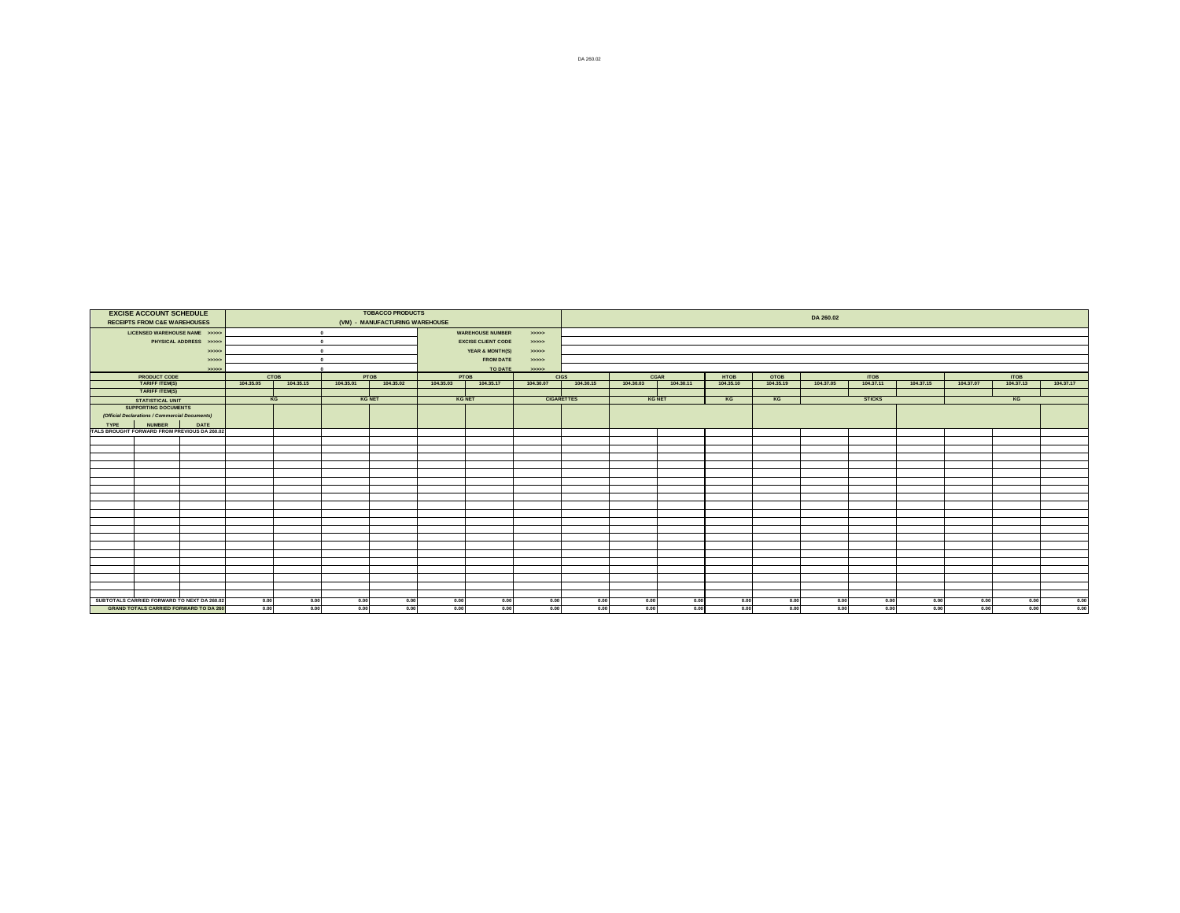|             | <b>EXCISE ACCOUNT SCHEDULE</b><br><b>RECEIPTS FROM C&amp;E WAREHOUSES</b>                    |                        |              |              |              | <b>TOBACCO PRODUCTS</b><br>(VM) - MANUFACTURING WAREHOUSE |               |                           |                   |              |               |              |              |              | DA 260.02    |               |              |              |              |              |
|-------------|----------------------------------------------------------------------------------------------|------------------------|--------------|--------------|--------------|-----------------------------------------------------------|---------------|---------------------------|-------------------|--------------|---------------|--------------|--------------|--------------|--------------|---------------|--------------|--------------|--------------|--------------|
|             | LICENSED WAREHOUSE NAME >>>>>                                                                |                        |              |              | $\bullet$    |                                                           |               | <b>WAREHOUSE NUMBER</b>   | 22222             |              |               |              |              |              |              |               |              |              |              |              |
|             |                                                                                              | PHYSICAL ADDRESS >>>>> |              |              | $\sqrt{2}$   |                                                           |               | <b>EXCISE CLIENT CODE</b> | 55555             |              |               |              |              |              |              |               |              |              |              |              |
|             |                                                                                              | 55555                  |              |              | $\Omega$     |                                                           |               | YEAR & MONTH(S)           | 55555             |              |               |              |              |              |              |               |              |              |              |              |
|             |                                                                                              | 55555                  |              | $\sqrt{2}$   |              |                                                           |               | <b>FROM DATE</b>          | 55555             |              |               |              |              |              |              |               |              |              |              |              |
|             |                                                                                              | 55555                  |              |              |              |                                                           |               | TO DATE                   | 55555             |              |               |              |              |              |              |               |              |              |              |              |
|             | <b>PRODUCT CODE</b>                                                                          |                        |              | СТОВ         |              | PTOB                                                      | PTOB          |                           |                   | <b>CIGS</b>  | CGAR          |              | <b>HTOB</b>  | OTOB         |              | <b>ITOB</b>   |              |              | <b>ITOB</b>  |              |
|             | <b>TARIFF ITEM(S)</b>                                                                        |                        | 104.35.05    | 104.35.15    | 104.35.01    | 104.35.02                                                 | 104.35.03     | 104.35.17                 | 104,30.07         | 104.30.15    | 104,30.03     | 104.30.11    | 104.35.10    | 104.35.19    | 104.37.05    | 104.37.11     | 104.37.15    | 104.37.07    | 104,37,13    | 104.37.17    |
|             | <b>TARIFF ITEM(S)</b>                                                                        |                        |              |              |              |                                                           |               |                           |                   |              |               |              |              |              |              |               |              |              |              |              |
|             | <b>STATISTICAL UNIT</b>                                                                      |                        |              | KG           |              | <b>KG NET</b>                                             | <b>KG NET</b> |                           | <b>CIGARETTES</b> |              | <b>KG NET</b> |              | KG           | KG           |              | <b>STICKS</b> |              |              | KG           |              |
|             | <b>SUPPORTING DOCUMENTS</b>                                                                  |                        |              |              |              |                                                           |               |                           |                   |              |               |              |              |              |              |               |              |              |              |              |
|             | (Official Declarations / Commercial Documents)                                               |                        |              |              |              |                                                           |               |                           |                   |              |               |              |              |              |              |               |              |              |              |              |
| <b>TYPF</b> | <b>NUMBER</b><br>TALS BROUGHT FORWARD FROM PREVIOUS DA 260.02                                | <b>DATE</b>            |              |              |              |                                                           |               |                           |                   |              |               |              |              |              |              |               |              |              |              |              |
|             |                                                                                              |                        |              |              |              |                                                           |               |                           |                   |              |               |              |              |              |              |               |              |              |              |              |
|             |                                                                                              |                        |              |              |              |                                                           |               |                           |                   |              |               |              |              |              |              |               |              |              |              |              |
|             |                                                                                              |                        |              |              |              |                                                           |               |                           |                   |              |               |              |              |              |              |               |              |              |              |              |
|             |                                                                                              |                        |              |              |              |                                                           |               |                           |                   |              |               |              |              |              |              |               |              |              |              |              |
|             |                                                                                              |                        |              |              |              |                                                           |               |                           |                   |              |               |              |              |              |              |               |              |              |              |              |
|             |                                                                                              |                        |              |              |              |                                                           |               |                           |                   |              |               |              |              |              |              |               |              |              |              |              |
|             |                                                                                              |                        |              |              |              |                                                           |               |                           |                   |              |               |              |              |              |              |               |              |              |              |              |
|             |                                                                                              |                        |              |              |              |                                                           |               |                           |                   |              |               |              |              |              |              |               |              |              |              |              |
|             |                                                                                              |                        |              |              |              |                                                           |               |                           |                   |              |               |              |              |              |              |               |              |              |              |              |
|             |                                                                                              |                        |              |              |              |                                                           |               |                           |                   |              |               |              |              |              |              |               |              |              |              |              |
|             |                                                                                              |                        |              |              |              |                                                           |               |                           |                   |              |               |              |              |              |              |               |              |              |              |              |
|             |                                                                                              |                        |              |              |              |                                                           |               |                           |                   |              |               |              |              |              |              |               |              |              |              |              |
|             |                                                                                              |                        |              |              |              |                                                           |               |                           |                   |              |               |              |              |              |              |               |              |              |              |              |
|             |                                                                                              |                        |              |              |              |                                                           |               |                           |                   |              |               |              |              |              |              |               |              |              |              |              |
|             |                                                                                              |                        |              |              |              |                                                           |               |                           |                   |              |               |              |              |              |              |               |              |              |              |              |
|             |                                                                                              |                        |              |              |              |                                                           |               |                           |                   |              |               |              |              |              |              |               |              |              |              |              |
|             |                                                                                              |                        |              |              |              |                                                           |               |                           |                   |              |               |              |              |              |              |               |              |              |              |              |
|             |                                                                                              |                        |              |              |              |                                                           |               |                           |                   |              |               |              |              |              |              |               |              |              |              |              |
|             |                                                                                              |                        |              |              |              |                                                           |               |                           |                   |              |               |              |              |              |              |               |              |              |              |              |
|             | SUBTOTALS CARRIED FORWARD TO NEXT DA 260.02<br><b>GRAND TOTALS CARRIED FORWARD TO DA 260</b> |                        | 0.00<br>0.00 | 0.00<br>0.00 | 0.00<br>0.00 | 0.00<br>0.00                                              | 0.00<br>0.00  | 0.00<br>0.00              | 0.00<br>0.00      | 0.00<br>0.00 | 0.00<br>0.00  | 0.00<br>0.00 | 0.00<br>0.00 | 0.00<br>0.00 | 0.00<br>0.00 | 0.00<br>0.00  | 0.00<br>0.00 | 0.00<br>0.00 | 0.00<br>0.00 | 0.00<br>0.00 |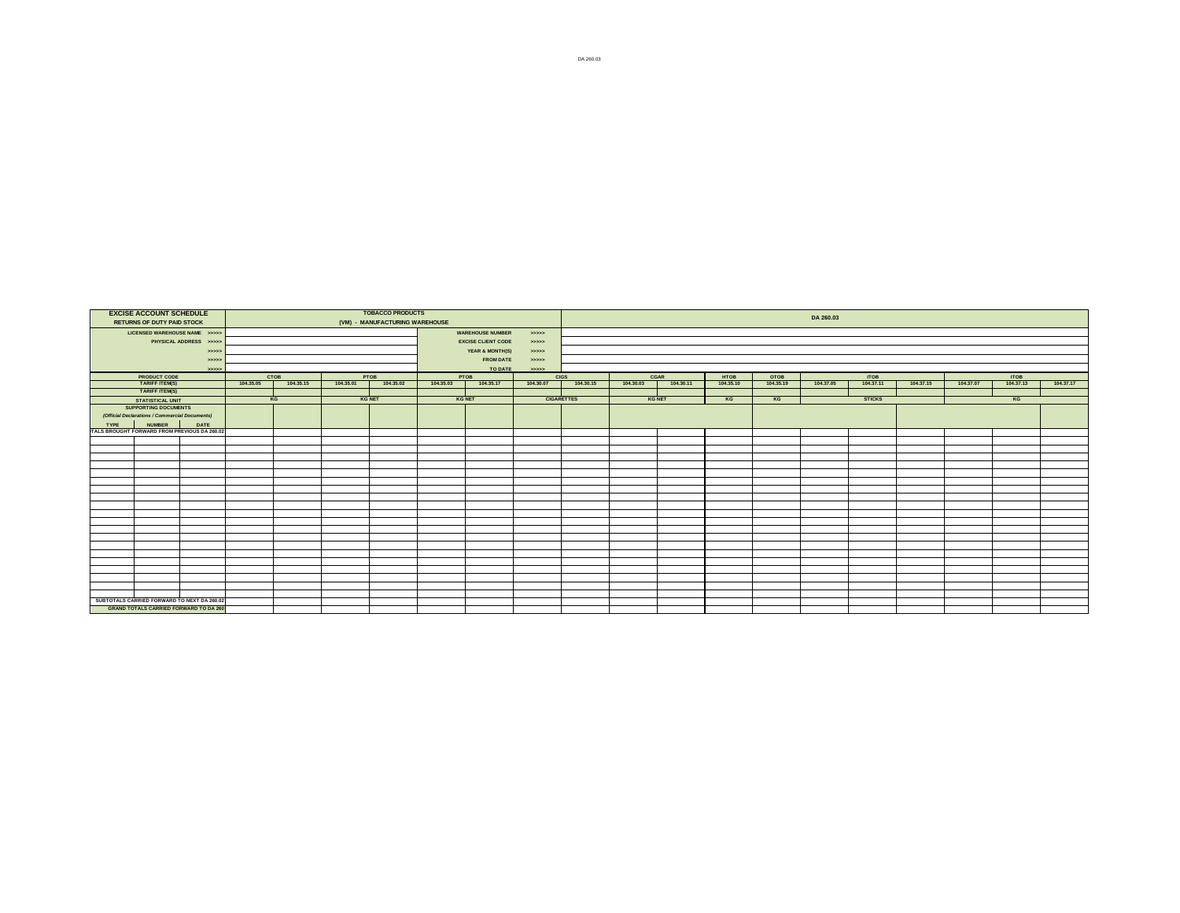| <b>EXCISE ACCOUNT SCHEDULE</b>                                                              |           |           |           | <b>TOBACCO PRODUCTS</b>        |           |                           |           |                   |               |           |           |           | DA 260.03 |                  |           |           |                  |           |
|---------------------------------------------------------------------------------------------|-----------|-----------|-----------|--------------------------------|-----------|---------------------------|-----------|-------------------|---------------|-----------|-----------|-----------|-----------|------------------|-----------|-----------|------------------|-----------|
| <b>RETURNS OF DUTY PAID STOCK</b>                                                           |           |           |           | (VM) - MANUFACTURING WAREHOUSE |           |                           |           |                   |               |           |           |           |           |                  |           |           |                  |           |
| LICENSED WAREHOUSE NAME >>>>>                                                               |           |           |           |                                |           | <b>WAREHOUSE NUMBER</b>   | 55555     |                   |               |           |           |           |           |                  |           |           |                  |           |
| PHYSICAL ADDRESS >>>>>                                                                      |           |           |           |                                |           | <b>EXCISE CLIENT CODE</b> | 55555     |                   |               |           |           |           |           |                  |           |           |                  |           |
|                                                                                             | 55555     |           |           |                                |           | YEAR & MONTH(S)           | 55555     |                   |               |           |           |           |           |                  |           |           |                  |           |
|                                                                                             | 55555     |           |           |                                |           | <b>FROM DATE</b>          | >>>>>     |                   |               |           |           |           |           |                  |           |           |                  |           |
|                                                                                             | 55555     |           |           |                                |           | TO DATE                   | 55555     |                   |               |           |           |           |           |                  |           |           |                  |           |
| <b>PRODUCT CODE</b><br>TARIFF ITEM(S)                                                       |           | CTOB      |           | PTOB                           |           | PTOB                      |           | <b>CIGS</b>       | CGAR          |           | HTOB      | OTOB      |           | TOB<br>104.37.11 |           |           | TOB<br>104.37.13 |           |
|                                                                                             | 104.35.05 | 104.35.15 | 104.35.01 | 104.35.02                      | 104.35.03 | 104.35.17                 | 104.30.07 | 104.30.15         | 104.30.03     | 104.30.11 | 104.35.10 | 104.35.19 | 104.37.05 |                  | 104.37.15 | 104.37.07 |                  | 104.37.17 |
| <b>TARIFF ITEM(S)</b>                                                                       |           |           |           |                                |           |                           |           |                   |               |           |           |           |           |                  |           |           |                  |           |
| <b>STATISTICAL UNIT</b>                                                                     |           | KG        |           | <b>KG NET</b>                  |           | <b>KG NET</b>             |           | <b>CIGARETTES</b> | <b>KG NET</b> |           | KG        | KG        |           | <b>STICKS</b>    |           |           | KG               |           |
| <b>SUPPORTING DOCUMENTS</b>                                                                 |           |           |           |                                |           |                           |           |                   |               |           |           |           |           |                  |           |           |                  |           |
| (Official Declarations / Commercial Documents)                                              |           |           |           |                                |           |                           |           |                   |               |           |           |           |           |                  |           |           |                  |           |
| <b>NUMBER</b><br><b>DATE</b><br><b>TYPE</b><br>TALS BROUGHT FORWARD FROM PREVIOUS DA 260.02 |           |           |           |                                |           |                           |           |                   |               |           |           |           |           |                  |           |           |                  |           |
|                                                                                             |           |           |           |                                |           |                           |           |                   |               |           |           |           |           |                  |           |           |                  |           |
|                                                                                             |           |           |           |                                |           |                           |           |                   |               |           |           |           |           |                  |           |           |                  |           |
|                                                                                             |           |           |           |                                |           |                           |           |                   |               |           |           |           |           |                  |           |           |                  |           |
|                                                                                             |           |           |           |                                |           |                           |           |                   |               |           |           |           |           |                  |           |           |                  |           |
|                                                                                             |           |           |           |                                |           |                           |           |                   |               |           |           |           |           |                  |           |           |                  |           |
|                                                                                             |           |           |           |                                |           |                           |           |                   |               |           |           |           |           |                  |           |           |                  |           |
|                                                                                             |           |           |           |                                |           |                           |           |                   |               |           |           |           |           |                  |           |           |                  |           |
|                                                                                             |           |           |           |                                |           |                           |           |                   |               |           |           |           |           |                  |           |           |                  |           |
|                                                                                             |           |           |           |                                |           |                           |           |                   |               |           |           |           |           |                  |           |           |                  |           |
|                                                                                             |           |           |           |                                |           |                           |           |                   |               |           |           |           |           |                  |           |           |                  |           |
|                                                                                             |           |           |           |                                |           |                           |           |                   |               |           |           |           |           |                  |           |           |                  |           |
|                                                                                             |           |           |           |                                |           |                           |           |                   |               |           |           |           |           |                  |           |           |                  |           |
|                                                                                             |           |           |           |                                |           |                           |           |                   |               |           |           |           |           |                  |           |           |                  |           |
|                                                                                             |           |           |           |                                |           |                           |           |                   |               |           |           |           |           |                  |           |           |                  |           |
|                                                                                             |           |           |           |                                |           |                           |           |                   |               |           |           |           |           |                  |           |           |                  |           |
|                                                                                             |           |           |           |                                |           |                           |           |                   |               |           |           |           |           |                  |           |           |                  |           |
|                                                                                             |           |           |           |                                |           |                           |           |                   |               |           |           |           |           |                  |           |           |                  |           |
|                                                                                             |           |           |           |                                |           |                           |           |                   |               |           |           |           |           |                  |           |           |                  |           |
|                                                                                             |           |           |           |                                |           |                           |           |                   |               |           |           |           |           |                  |           |           |                  |           |
| SUBTOTALS CARRIED FORWARD TO NEXT DA 260.02                                                 |           |           |           |                                |           |                           |           |                   |               |           |           |           |           |                  |           |           |                  |           |
| <b>GRAND TOTALS CARRIED FORWARD TO DA 260</b>                                               |           |           |           |                                |           |                           |           |                   |               |           |           |           |           |                  |           |           |                  |           |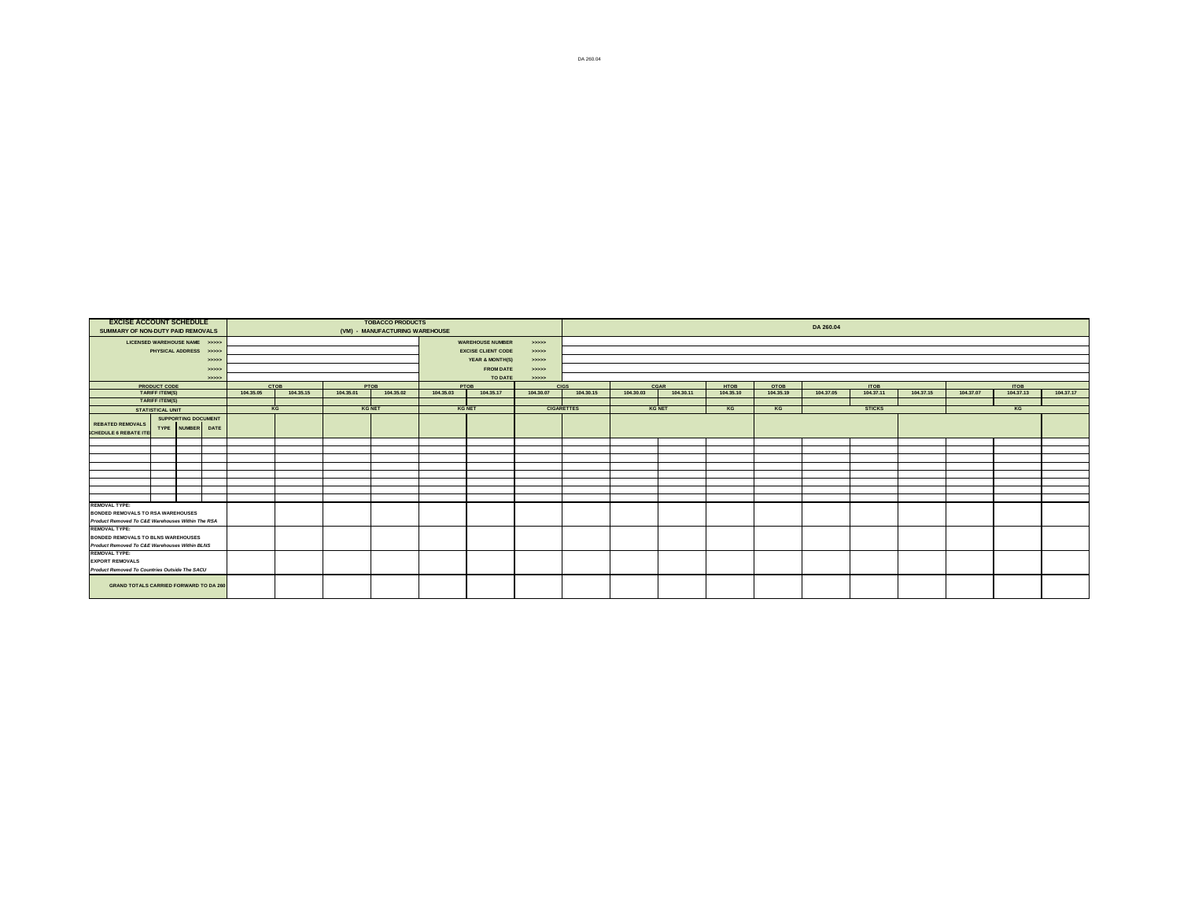| <b>EXCISE ACCOUNT SCHEDULE</b><br>SUMMARY OF NON-DUTY PAID REMOVALS |                                                                                            |                            |       |           |             |           | <b>TOBACCO PRODUCTS</b><br>(VM) - MANUFACTURING WAREHOUSE |               |                           |                   |           |               |           |             |           | DA 260.04 |               |           |           |             |           |
|---------------------------------------------------------------------|--------------------------------------------------------------------------------------------|----------------------------|-------|-----------|-------------|-----------|-----------------------------------------------------------|---------------|---------------------------|-------------------|-----------|---------------|-----------|-------------|-----------|-----------|---------------|-----------|-----------|-------------|-----------|
| LICENSED WAREHOUSE NAME >>>>>                                       |                                                                                            |                            |       |           |             |           |                                                           |               | <b>WAREHOUSE NUMBER</b>   | 55555             |           |               |           |             |           |           |               |           |           |             |           |
|                                                                     | PHYSICAL ADDRESS >>>>>                                                                     |                            |       |           |             |           |                                                           |               | <b>EXCISE CLIENT CODE</b> | 55555             |           |               |           |             |           |           |               |           |           |             |           |
|                                                                     |                                                                                            |                            | 55555 |           |             |           |                                                           |               | YEAR & MONTH(S)           | >                 |           |               |           |             |           |           |               |           |           |             |           |
|                                                                     |                                                                                            |                            | 55555 |           |             |           |                                                           |               | <b>FROM DATE</b>          | 55555             |           |               |           |             |           |           |               |           |           |             |           |
|                                                                     |                                                                                            |                            | >     |           |             |           |                                                           |               | TO DATE                   | 55555             |           |               |           |             |           |           |               |           |           |             |           |
|                                                                     | <b>PRODUCT CODE</b><br>TARIFF ITEM(S)                                                      |                            |       |           | <b>CTOB</b> |           | PTOB                                                      |               | PTOB                      | <b>CIGS</b>       |           | CGAR          |           | <b>HTOB</b> | OTOB      |           | <b>ITOB</b>   |           | 104,37.07 | <b>ITOB</b> |           |
|                                                                     | <b>TARIFF ITEM(S)</b>                                                                      |                            |       | 104.35.05 | 104.35.15   | 104.35.01 | 104.35.02                                                 | 104.35.03     | 104.35.17                 | 104.30.07         | 104.30.15 | 104,30.03     | 104.30.11 | 104.35.10   | 104.35.19 | 104.37.05 | 104.37.11     | 104.37.15 |           | 104.37.13   | 104.37.17 |
|                                                                     | <b>STATISTICAL UNIT</b>                                                                    |                            |       |           | KG          |           | <b>KG NET</b>                                             | <b>KG NET</b> |                           | <b>CIGARETTES</b> |           | <b>KG NET</b> |           | KG          | KG        |           | <b>STICKS</b> |           |           | KG          |           |
|                                                                     |                                                                                            | <b>SUPPORTING DOCUMENT</b> |       |           |             |           |                                                           |               |                           |                   |           |               |           |             |           |           |               |           |           |             |           |
| <b>REBATED REMOVALS</b><br><b>CHEDULE 6 REBATE ITE</b>              |                                                                                            | TYPE NUMBER DATE           |       |           |             |           |                                                           |               |                           |                   |           |               |           |             |           |           |               |           |           |             |           |
|                                                                     |                                                                                            |                            |       |           |             |           |                                                           |               |                           |                   |           |               |           |             |           |           |               |           |           |             |           |
|                                                                     |                                                                                            |                            |       |           |             |           |                                                           |               |                           |                   |           |               |           |             |           |           |               |           |           |             |           |
|                                                                     |                                                                                            |                            |       |           |             |           |                                                           |               |                           |                   |           |               |           |             |           |           |               |           |           |             |           |
|                                                                     |                                                                                            |                            |       |           |             |           |                                                           |               |                           |                   |           |               |           |             |           |           |               |           |           |             |           |
|                                                                     |                                                                                            |                            |       |           |             |           |                                                           |               |                           |                   |           |               |           |             |           |           |               |           |           |             |           |
|                                                                     |                                                                                            |                            |       |           |             |           |                                                           |               |                           |                   |           |               |           |             |           |           |               |           |           |             |           |
|                                                                     |                                                                                            |                            |       |           |             |           |                                                           |               |                           |                   |           |               |           |             |           |           |               |           |           |             |           |
| <b>REMOVAL TYPE:</b><br><b>BONDED REMOVALS TO RSA WAREHOUSES</b>    |                                                                                            |                            |       |           |             |           |                                                           |               |                           |                   |           |               |           |             |           |           |               |           |           |             |           |
| Product Removed To C&E Warehouses Within The RSA                    |                                                                                            |                            |       |           |             |           |                                                           |               |                           |                   |           |               |           |             |           |           |               |           |           |             |           |
| <b>REMOVAL TYPE:</b>                                                |                                                                                            |                            |       |           |             |           |                                                           |               |                           |                   |           |               |           |             |           |           |               |           |           |             |           |
|                                                                     |                                                                                            |                            |       |           |             |           |                                                           |               |                           |                   |           |               |           |             |           |           |               |           |           |             |           |
|                                                                     | <b>BONDED REMOVALS TO BLNS WAREHOUSES</b><br>Product Removed To C&E Warehouses Within BLNS |                            |       |           |             |           |                                                           |               |                           |                   |           |               |           |             |           |           |               |           |           |             |           |
| <b>REMOVAL TYPE:</b>                                                |                                                                                            |                            |       |           |             |           |                                                           |               |                           |                   |           |               |           |             |           |           |               |           |           |             |           |
|                                                                     | <b>EXPORT REMOVALS</b><br>Product Removed To Countries Outside The SACU                    |                            |       |           |             |           |                                                           |               |                           |                   |           |               |           |             |           |           |               |           |           |             |           |
|                                                                     |                                                                                            |                            |       |           |             |           |                                                           |               |                           |                   |           |               |           |             |           |           |               |           |           |             |           |
| <b>GRAND TOTALS CARRIED FORWARD TO DA 260</b>                       |                                                                                            |                            |       |           |             |           |                                                           |               |                           |                   |           |               |           |             |           |           |               |           |           |             |           |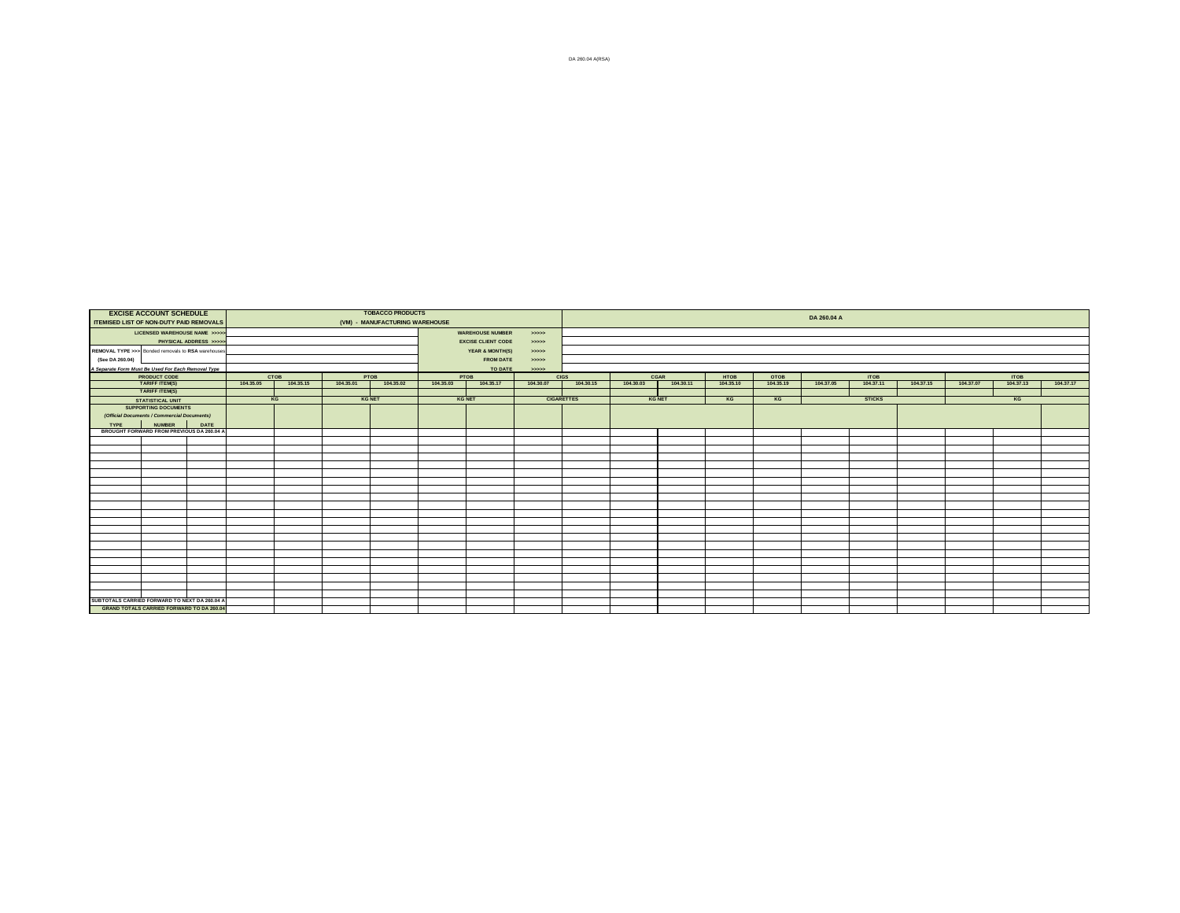| ITEMISED LIST OF NON-DUTY PAID REMOVALS            | <b>EXCISE ACCOUNT SCHEDULE</b>                             |                       |           |           |               | <b>TOBACCO PRODUCTS</b><br>(VM) - MANUFACTURING WAREHOUSE |               |                           |           |                   |               |           |                   |                   | DA 260.04 A |                   |           |           |                   |           |
|----------------------------------------------------|------------------------------------------------------------|-----------------------|-----------|-----------|---------------|-----------------------------------------------------------|---------------|---------------------------|-----------|-------------------|---------------|-----------|-------------------|-------------------|-------------|-------------------|-----------|-----------|-------------------|-----------|
|                                                    | LICENSED WAREHOUSE NAME >>>>                               |                       |           |           |               |                                                           |               | <b>WAREHOUSE NUMBER</b>   | 55555     |                   |               |           |                   |                   |             |                   |           |           |                   |           |
|                                                    |                                                            | PHYSICAL ADDRESS >>>> |           |           |               |                                                           |               | <b>EXCISE CLIENT CODE</b> | 55552     |                   |               |           |                   |                   |             |                   |           |           |                   |           |
| REMOVAL TYPE >>> Bonded removals to RSA warehouses |                                                            |                       |           |           |               |                                                           |               | YEAR & MONTH(S)           | 55552     |                   |               |           |                   |                   |             |                   |           |           |                   |           |
| (See DA 260.04)                                    |                                                            |                       |           |           |               |                                                           |               | <b>FROM DATE</b>          | 55555     |                   |               |           |                   |                   |             |                   |           |           |                   |           |
| A Separate Form Must Be Used For Each Removal Type |                                                            |                       |           |           |               |                                                           |               | TO DATE                   | 22222     |                   |               |           |                   |                   |             |                   |           |           |                   |           |
|                                                    | <b>PRODUCT CODE</b><br>TARIFF ITEM(S)                      |                       |           | CTOB      | PTOB          |                                                           |               | PTOB                      |           | <b>CIGS</b>       | CGAR          |           | HTOB<br>104.35.10 | OTOB<br>104.35.19 |             | ITOB<br>104.37.11 |           |           | ITOB<br>104.37.13 |           |
|                                                    |                                                            |                       | 104.35.05 | 104.35.15 | 104.35.01     | 104.35.02                                                 | 104.35.03     | 104.35.17                 | 104.30.07 | 104.30.15         | 104.30.03     | 104.30.11 |                   |                   | 104.37.05   |                   | 104.37.15 | 104.37.07 |                   | 104.37.17 |
|                                                    | <b>TARIFF ITEM(S)</b>                                      |                       |           |           |               |                                                           |               |                           |           |                   |               |           |                   |                   |             |                   |           |           |                   |           |
|                                                    | <b>STATISTICAL UNIT</b>                                    |                       |           | KG        | <b>KG NET</b> |                                                           | <b>KG NET</b> |                           |           | <b>CIGARETTES</b> | <b>KG NET</b> |           | KG                | KG                |             | <b>STICKS</b>     |           |           | KG                |           |
|                                                    | <b>SUPPORTING DOCUMENTS</b>                                |                       |           |           |               |                                                           |               |                           |           |                   |               |           |                   |                   |             |                   |           |           |                   |           |
|                                                    | (Official Documents / Commercial Documents)                |                       |           |           |               |                                                           |               |                           |           |                   |               |           |                   |                   |             |                   |           |           |                   |           |
| <b>TYPE</b>                                        | <b>NUMBER</b><br>BROUGHT FORWARD FROM PREVIOUS DA 260.04 A | DATE                  |           |           |               |                                                           |               |                           |           |                   |               |           |                   |                   |             |                   |           |           |                   |           |
|                                                    |                                                            |                       |           |           |               |                                                           |               |                           |           |                   |               |           |                   |                   |             |                   |           |           |                   |           |
|                                                    |                                                            |                       |           |           |               |                                                           |               |                           |           |                   |               |           |                   |                   |             |                   |           |           |                   |           |
|                                                    |                                                            |                       |           |           |               |                                                           |               |                           |           |                   |               |           |                   |                   |             |                   |           |           |                   |           |
|                                                    |                                                            |                       |           |           |               |                                                           |               |                           |           |                   |               |           |                   |                   |             |                   |           |           |                   |           |
|                                                    |                                                            |                       |           |           |               |                                                           |               |                           |           |                   |               |           |                   |                   |             |                   |           |           |                   |           |
|                                                    |                                                            |                       |           |           |               |                                                           |               |                           |           |                   |               |           |                   |                   |             |                   |           |           |                   |           |
|                                                    |                                                            |                       |           |           |               |                                                           |               |                           |           |                   |               |           |                   |                   |             |                   |           |           |                   |           |
|                                                    |                                                            |                       |           |           |               |                                                           |               |                           |           |                   |               |           |                   |                   |             |                   |           |           |                   |           |
|                                                    |                                                            |                       |           |           |               |                                                           |               |                           |           |                   |               |           |                   |                   |             |                   |           |           |                   |           |
|                                                    |                                                            |                       |           |           |               |                                                           |               |                           |           |                   |               |           |                   |                   |             |                   |           |           |                   |           |
|                                                    |                                                            |                       |           |           |               |                                                           |               |                           |           |                   |               |           |                   |                   |             |                   |           |           |                   |           |
|                                                    |                                                            |                       |           |           |               |                                                           |               |                           |           |                   |               |           |                   |                   |             |                   |           |           |                   |           |
|                                                    |                                                            |                       |           |           |               |                                                           |               |                           |           |                   |               |           |                   |                   |             |                   |           |           |                   |           |
|                                                    |                                                            |                       |           |           |               |                                                           |               |                           |           |                   |               |           |                   |                   |             |                   |           |           |                   |           |
|                                                    |                                                            |                       |           |           |               |                                                           |               |                           |           |                   |               |           |                   |                   |             |                   |           |           |                   |           |
|                                                    |                                                            |                       |           |           |               |                                                           |               |                           |           |                   |               |           |                   |                   |             |                   |           |           |                   |           |
|                                                    |                                                            |                       |           |           |               |                                                           |               |                           |           |                   |               |           |                   |                   |             |                   |           |           |                   |           |
|                                                    |                                                            |                       |           |           |               |                                                           |               |                           |           |                   |               |           |                   |                   |             |                   |           |           |                   |           |
|                                                    |                                                            |                       |           |           |               |                                                           |               |                           |           |                   |               |           |                   |                   |             |                   |           |           |                   |           |
| SUBTOTALS CARRIED FORWARD TO NEXT DA 260.04 A      |                                                            |                       |           |           |               |                                                           |               |                           |           |                   |               |           |                   |                   |             |                   |           |           |                   |           |
|                                                    | <b>GRAND TOTALS CARRIED FORWARD TO DA 260.04</b>           |                       |           |           |               |                                                           |               |                           |           |                   |               |           |                   |                   |             |                   |           |           |                   |           |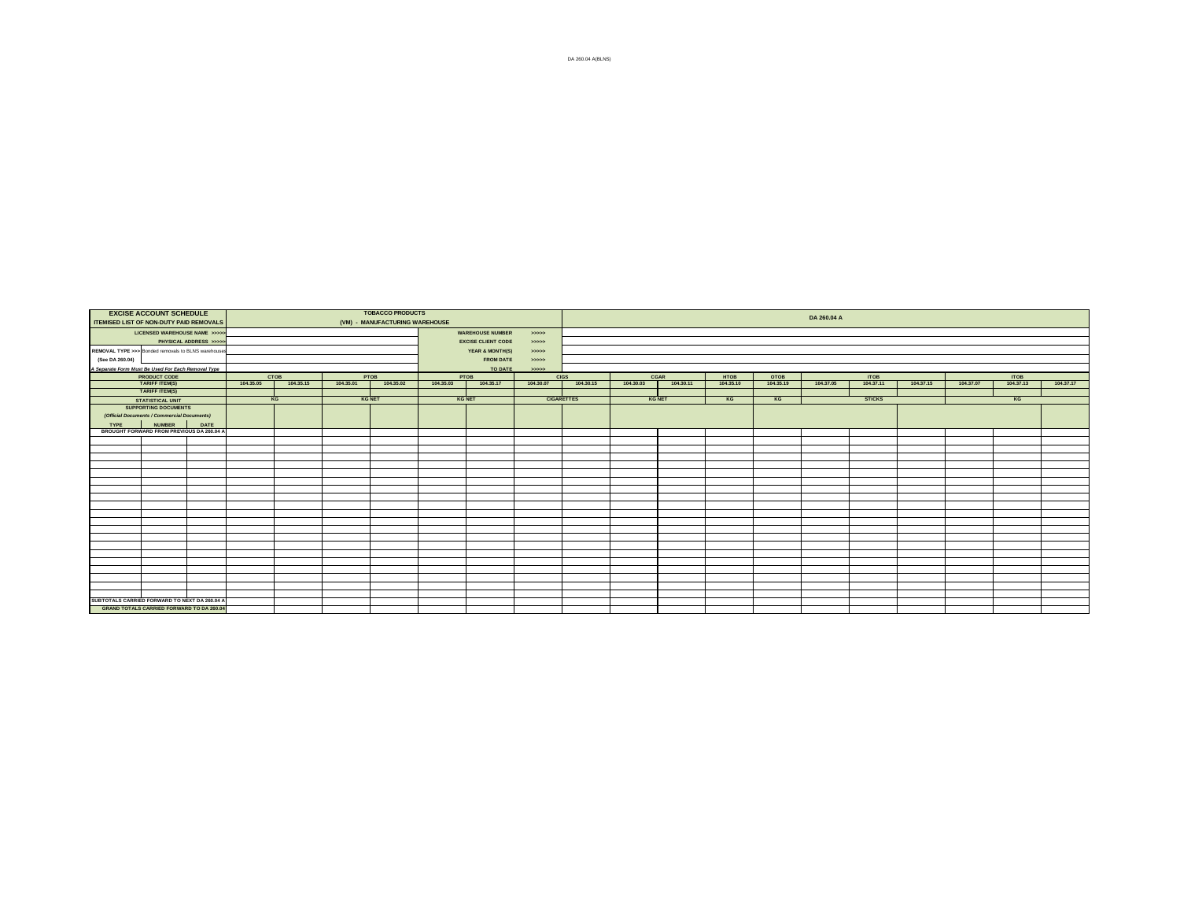| ITEMISED LIST OF NON-DUTY PAID REMOVALS            | <b>EXCISE ACCOUNT SCHEDULE</b>                                             |                       |           |           |               | <b>TOBACCO PRODUCTS</b><br>(VM) - MANUFACTURING WAREHOUSE |           |                           |           |                   |               |           |                   |                   | DA 260.04 A |                   |           |           |                   |           |
|----------------------------------------------------|----------------------------------------------------------------------------|-----------------------|-----------|-----------|---------------|-----------------------------------------------------------|-----------|---------------------------|-----------|-------------------|---------------|-----------|-------------------|-------------------|-------------|-------------------|-----------|-----------|-------------------|-----------|
|                                                    | LICENSED WAREHOUSE NAME >>>>                                               |                       |           |           |               |                                                           |           | <b>WAREHOUSE NUMBER</b>   | 55555     |                   |               |           |                   |                   |             |                   |           |           |                   |           |
|                                                    |                                                                            | PHYSICAL ADDRESS >>>> |           |           |               |                                                           |           | <b>EXCISE CLIENT CODE</b> | 55552     |                   |               |           |                   |                   |             |                   |           |           |                   |           |
| REMOVAL TYPE >>> Bonded removals to BLNS warehouse |                                                                            |                       |           |           |               |                                                           |           | YEAR & MONTH(S)           | 55552     |                   |               |           |                   |                   |             |                   |           |           |                   |           |
| (See DA 260.04)                                    |                                                                            |                       |           |           |               |                                                           |           | <b>FROM DATE</b>          | 55555     |                   |               |           |                   |                   |             |                   |           |           |                   |           |
| A Separate Form Must Be Used For Each Removal Type |                                                                            |                       |           |           |               |                                                           |           | TO DATE                   | 22222     |                   |               |           |                   |                   |             |                   |           |           |                   |           |
|                                                    | <b>PRODUCT CODE</b><br>TARIFF ITEM(S)                                      |                       |           | CTOB      | PTOB          |                                                           |           | PTOB                      |           | <b>CIGS</b>       | CGAR          |           | HTOB<br>104.35.10 | OTOB<br>104.35.19 |             | ITOB<br>104.37.11 |           |           | ITOB<br>104.37.13 |           |
|                                                    |                                                                            |                       | 104.35.05 | 104.35.15 | 104.35.01     | 104.35.02                                                 | 104.35.03 | 104.35.17                 | 104.30.07 | 104.30.15         | 104.30.03     | 104.30.11 |                   |                   | 104.37.05   |                   | 104.37.15 | 104.37.07 |                   | 104.37.17 |
|                                                    | <b>TARIFF ITEM(S)</b>                                                      |                       |           |           |               |                                                           |           |                           |           |                   |               |           |                   |                   |             |                   |           |           |                   |           |
|                                                    | <b>STATISTICAL UNIT</b>                                                    |                       |           | KG        | <b>KG NET</b> |                                                           |           | <b>KG NET</b>             |           | <b>CIGARETTES</b> | <b>KG NET</b> |           | KG                | KG                |             | <b>STICKS</b>     |           |           | KG                |           |
|                                                    | <b>SUPPORTING DOCUMENTS</b><br>(Official Documents / Commercial Documents) |                       |           |           |               |                                                           |           |                           |           |                   |               |           |                   |                   |             |                   |           |           |                   |           |
| <b>TYPE</b>                                        | <b>NUMBER</b>                                                              | DATE                  |           |           |               |                                                           |           |                           |           |                   |               |           |                   |                   |             |                   |           |           |                   |           |
|                                                    | BROUGHT FORWARD FROM PREVIOUS DA 260.04 A                                  |                       |           |           |               |                                                           |           |                           |           |                   |               |           |                   |                   |             |                   |           |           |                   |           |
|                                                    |                                                                            |                       |           |           |               |                                                           |           |                           |           |                   |               |           |                   |                   |             |                   |           |           |                   |           |
|                                                    |                                                                            |                       |           |           |               |                                                           |           |                           |           |                   |               |           |                   |                   |             |                   |           |           |                   |           |
|                                                    |                                                                            |                       |           |           |               |                                                           |           |                           |           |                   |               |           |                   |                   |             |                   |           |           |                   |           |
|                                                    |                                                                            |                       |           |           |               |                                                           |           |                           |           |                   |               |           |                   |                   |             |                   |           |           |                   |           |
|                                                    |                                                                            |                       |           |           |               |                                                           |           |                           |           |                   |               |           |                   |                   |             |                   |           |           |                   |           |
|                                                    |                                                                            |                       |           |           |               |                                                           |           |                           |           |                   |               |           |                   |                   |             |                   |           |           |                   |           |
|                                                    |                                                                            |                       |           |           |               |                                                           |           |                           |           |                   |               |           |                   |                   |             |                   |           |           |                   |           |
|                                                    |                                                                            |                       |           |           |               |                                                           |           |                           |           |                   |               |           |                   |                   |             |                   |           |           |                   |           |
|                                                    |                                                                            |                       |           |           |               |                                                           |           |                           |           |                   |               |           |                   |                   |             |                   |           |           |                   |           |
|                                                    |                                                                            |                       |           |           |               |                                                           |           |                           |           |                   |               |           |                   |                   |             |                   |           |           |                   |           |
|                                                    |                                                                            |                       |           |           |               |                                                           |           |                           |           |                   |               |           |                   |                   |             |                   |           |           |                   |           |
|                                                    |                                                                            |                       |           |           |               |                                                           |           |                           |           |                   |               |           |                   |                   |             |                   |           |           |                   |           |
|                                                    |                                                                            |                       |           |           |               |                                                           |           |                           |           |                   |               |           |                   |                   |             |                   |           |           |                   |           |
|                                                    |                                                                            |                       |           |           |               |                                                           |           |                           |           |                   |               |           |                   |                   |             |                   |           |           |                   |           |
|                                                    |                                                                            |                       |           |           |               |                                                           |           |                           |           |                   |               |           |                   |                   |             |                   |           |           |                   |           |
|                                                    |                                                                            |                       |           |           |               |                                                           |           |                           |           |                   |               |           |                   |                   |             |                   |           |           |                   |           |
|                                                    |                                                                            |                       |           |           |               |                                                           |           |                           |           |                   |               |           |                   |                   |             |                   |           |           |                   |           |
|                                                    |                                                                            |                       |           |           |               |                                                           |           |                           |           |                   |               |           |                   |                   |             |                   |           |           |                   |           |
|                                                    |                                                                            |                       |           |           |               |                                                           |           |                           |           |                   |               |           |                   |                   |             |                   |           |           |                   |           |
| SUBTOTALS CARRIED FORWARD TO NEXT DA 260.04 A      |                                                                            |                       |           |           |               |                                                           |           |                           |           |                   |               |           |                   |                   |             |                   |           |           |                   |           |
|                                                    | <b>GRAND TOTALS CARRIED FORWARD TO DA 260.04</b>                           |                       |           |           |               |                                                           |           |                           |           |                   |               |           |                   |                   |             |                   |           |           |                   |           |